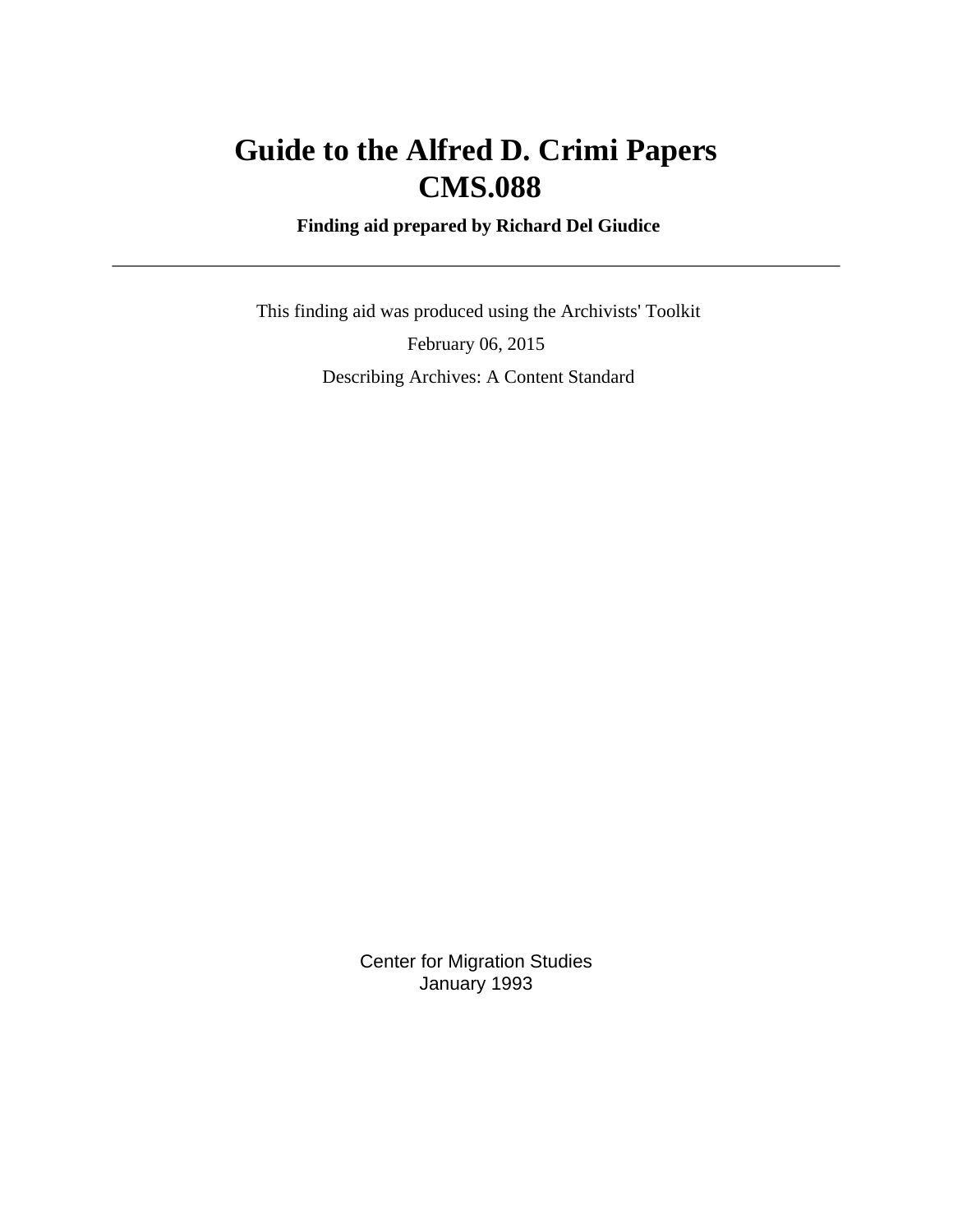# **Guide to the Alfred D. Crimi Papers CMS.088**

 **Finding aid prepared by Richard Del Giudice**

 This finding aid was produced using the Archivists' Toolkit February 06, 2015 Describing Archives: A Content Standard

> Center for Migration Studies January 1993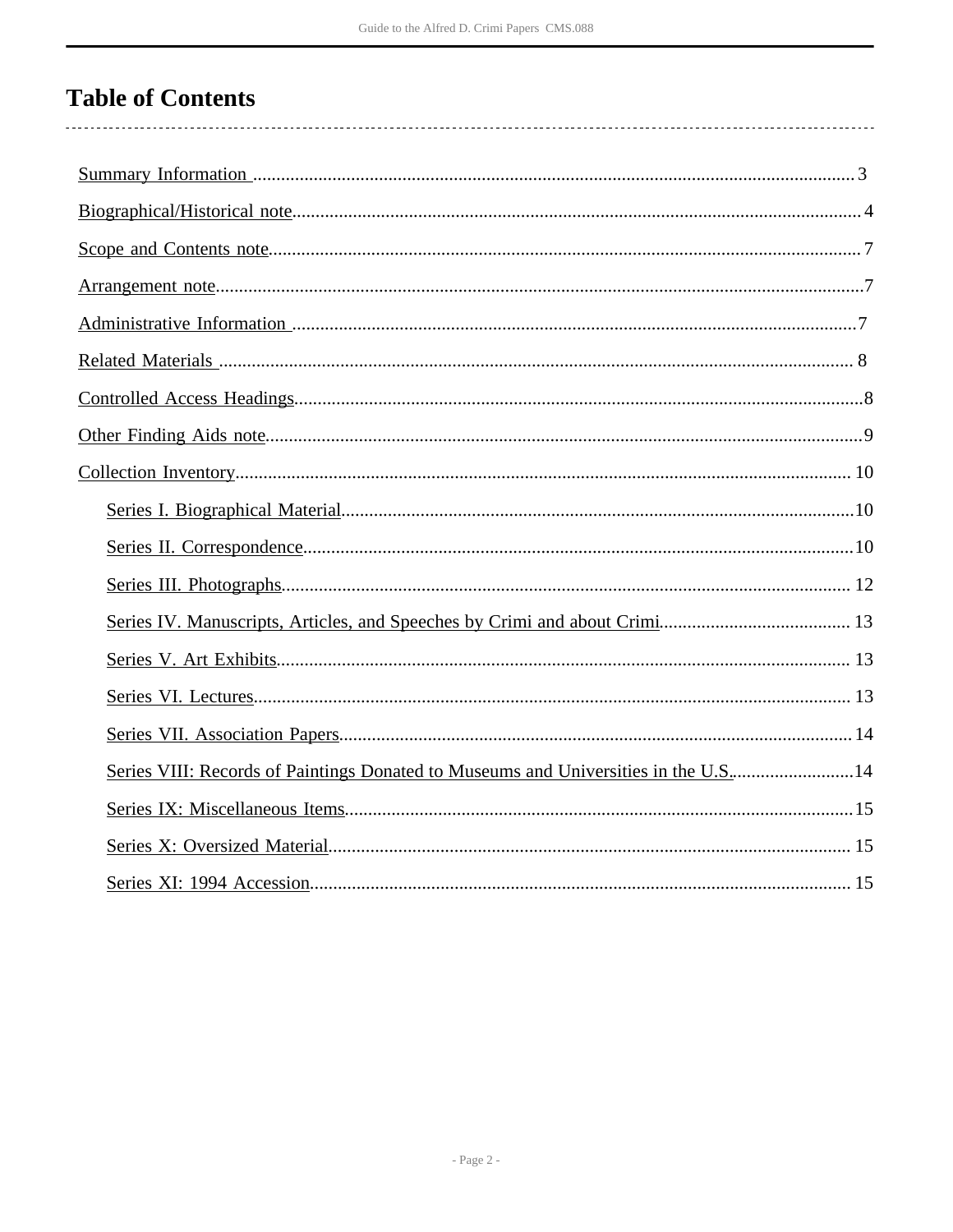# **Table of Contents**

| Series VIII: Records of Paintings Donated to Museums and Universities in the U.S14 |  |
|------------------------------------------------------------------------------------|--|
|                                                                                    |  |
|                                                                                    |  |
|                                                                                    |  |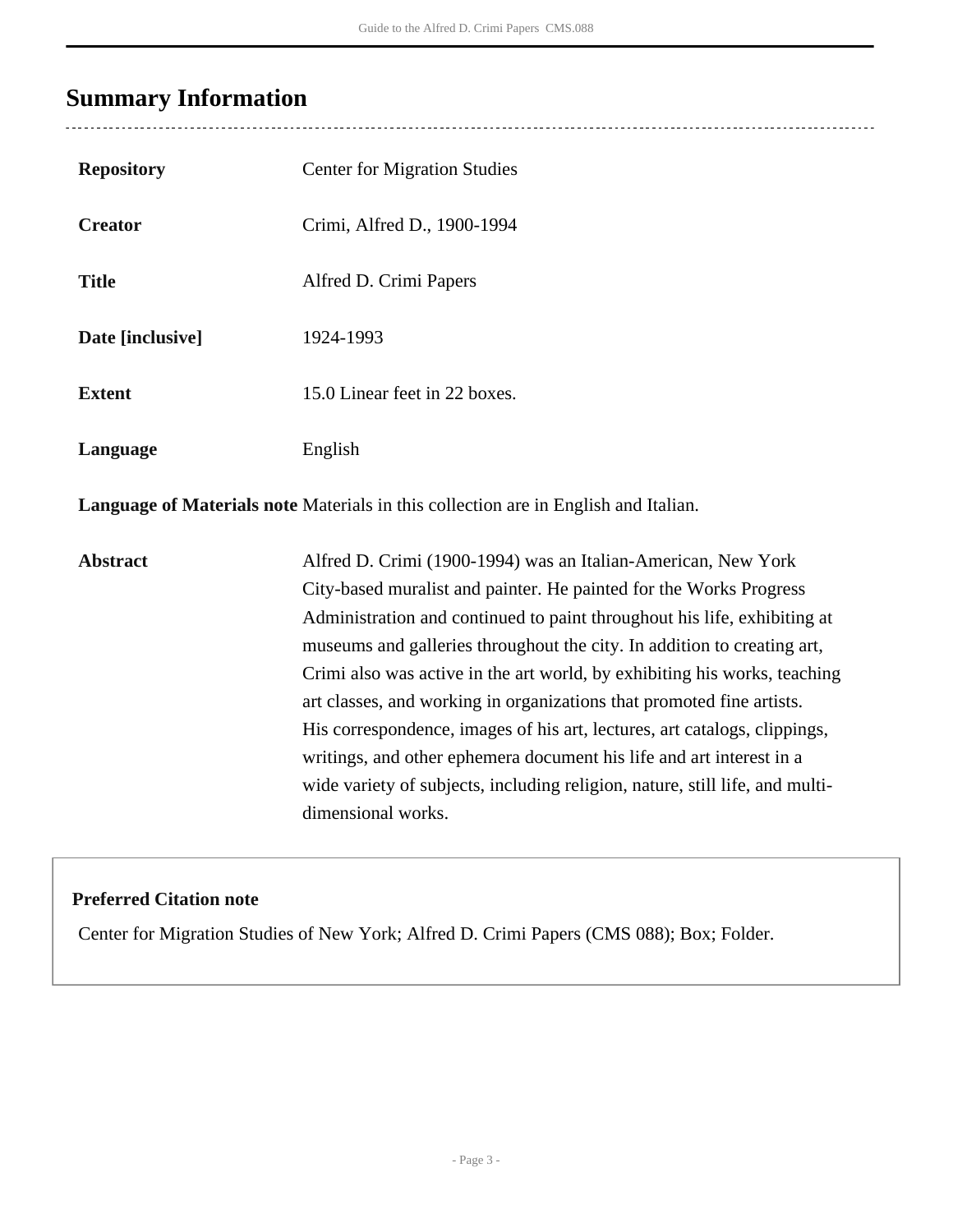# <span id="page-2-0"></span>**Summary Information**

| <b>Repository</b>                                                                   | <b>Center for Migration Studies</b>                                                                                                                                                                                                                                                                                                                                                                                                                                                                                                                                                                                                                                                                         |  |  |
|-------------------------------------------------------------------------------------|-------------------------------------------------------------------------------------------------------------------------------------------------------------------------------------------------------------------------------------------------------------------------------------------------------------------------------------------------------------------------------------------------------------------------------------------------------------------------------------------------------------------------------------------------------------------------------------------------------------------------------------------------------------------------------------------------------------|--|--|
| <b>Creator</b>                                                                      | Crimi, Alfred D., 1900-1994                                                                                                                                                                                                                                                                                                                                                                                                                                                                                                                                                                                                                                                                                 |  |  |
| <b>Title</b>                                                                        | Alfred D. Crimi Papers                                                                                                                                                                                                                                                                                                                                                                                                                                                                                                                                                                                                                                                                                      |  |  |
| Date [inclusive]                                                                    | 1924-1993                                                                                                                                                                                                                                                                                                                                                                                                                                                                                                                                                                                                                                                                                                   |  |  |
| <b>Extent</b>                                                                       | 15.0 Linear feet in 22 boxes.                                                                                                                                                                                                                                                                                                                                                                                                                                                                                                                                                                                                                                                                               |  |  |
| Language                                                                            | English                                                                                                                                                                                                                                                                                                                                                                                                                                                                                                                                                                                                                                                                                                     |  |  |
| Language of Materials note Materials in this collection are in English and Italian. |                                                                                                                                                                                                                                                                                                                                                                                                                                                                                                                                                                                                                                                                                                             |  |  |
| <b>Abstract</b>                                                                     | Alfred D. Crimi (1900-1994) was an Italian-American, New York<br>City-based muralist and painter. He painted for the Works Progress<br>Administration and continued to paint throughout his life, exhibiting at<br>museums and galleries throughout the city. In addition to creating art,<br>Crimi also was active in the art world, by exhibiting his works, teaching<br>art classes, and working in organizations that promoted fine artists.<br>His correspondence, images of his art, lectures, art catalogs, clippings,<br>writings, and other ephemera document his life and art interest in a<br>wide variety of subjects, including religion, nature, still life, and multi-<br>dimensional works. |  |  |

## **Preferred Citation note**

Center for Migration Studies of New York; Alfred D. Crimi Papers (CMS 088); Box; Folder.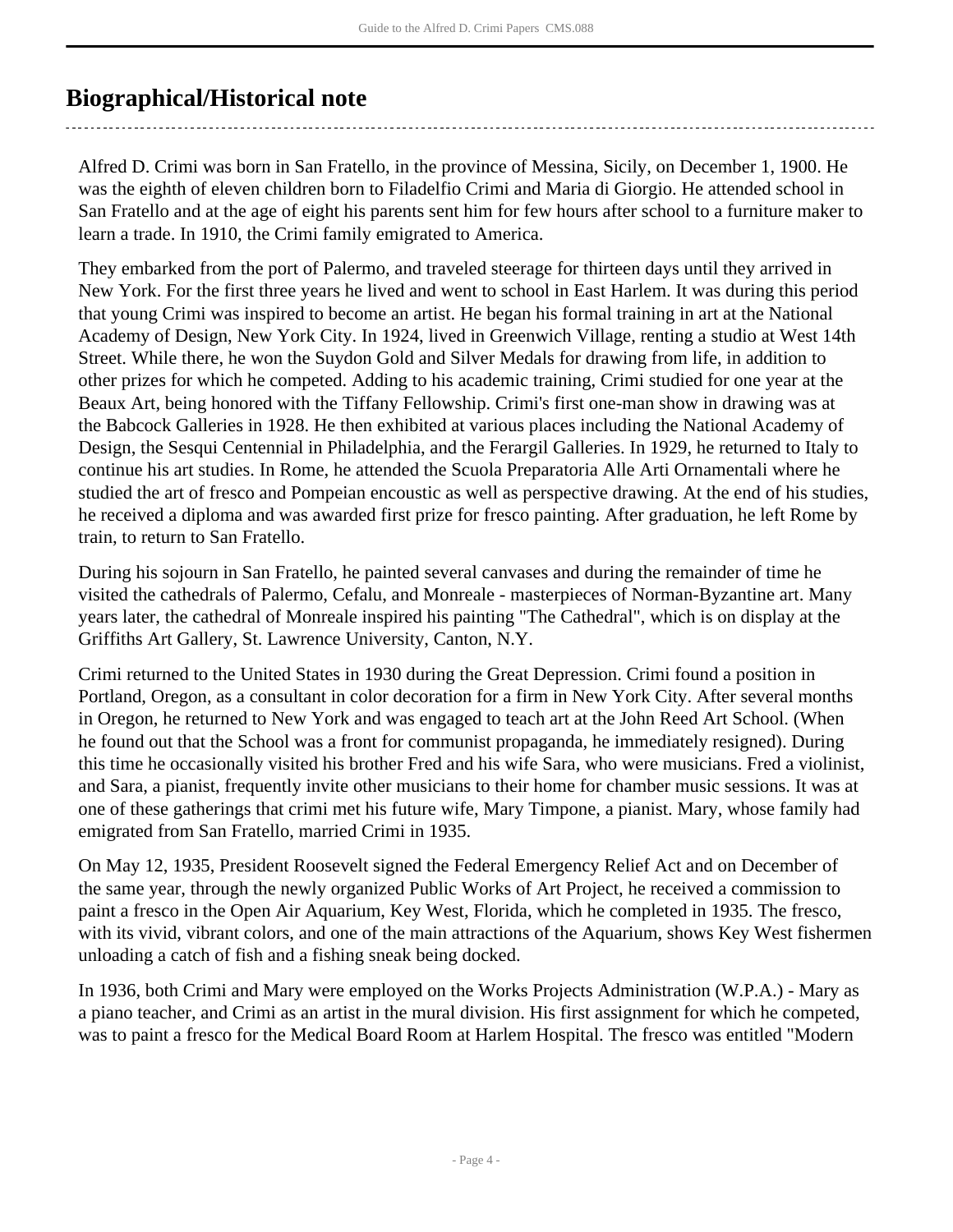# <span id="page-3-0"></span>**Biographical/Historical note**

Alfred D. Crimi was born in San Fratello, in the province of Messina, Sicily, on December 1, 1900. He was the eighth of eleven children born to Filadelfio Crimi and Maria di Giorgio. He attended school in San Fratello and at the age of eight his parents sent him for few hours after school to a furniture maker to learn a trade. In 1910, the Crimi family emigrated to America.

They embarked from the port of Palermo, and traveled steerage for thirteen days until they arrived in New York. For the first three years he lived and went to school in East Harlem. It was during this period that young Crimi was inspired to become an artist. He began his formal training in art at the National Academy of Design, New York City. In 1924, lived in Greenwich Village, renting a studio at West 14th Street. While there, he won the Suydon Gold and Silver Medals for drawing from life, in addition to other prizes for which he competed. Adding to his academic training, Crimi studied for one year at the Beaux Art, being honored with the Tiffany Fellowship. Crimi's first one-man show in drawing was at the Babcock Galleries in 1928. He then exhibited at various places including the National Academy of Design, the Sesqui Centennial in Philadelphia, and the Ferargil Galleries. In 1929, he returned to Italy to continue his art studies. In Rome, he attended the Scuola Preparatoria Alle Arti Ornamentali where he studied the art of fresco and Pompeian encoustic as well as perspective drawing. At the end of his studies, he received a diploma and was awarded first prize for fresco painting. After graduation, he left Rome by train, to return to San Fratello.

During his sojourn in San Fratello, he painted several canvases and during the remainder of time he visited the cathedrals of Palermo, Cefalu, and Monreale - masterpieces of Norman-Byzantine art. Many years later, the cathedral of Monreale inspired his painting "The Cathedral", which is on display at the Griffiths Art Gallery, St. Lawrence University, Canton, N.Y.

Crimi returned to the United States in 1930 during the Great Depression. Crimi found a position in Portland, Oregon, as a consultant in color decoration for a firm in New York City. After several months in Oregon, he returned to New York and was engaged to teach art at the John Reed Art School. (When he found out that the School was a front for communist propaganda, he immediately resigned). During this time he occasionally visited his brother Fred and his wife Sara, who were musicians. Fred a violinist, and Sara, a pianist, frequently invite other musicians to their home for chamber music sessions. It was at one of these gatherings that crimi met his future wife, Mary Timpone, a pianist. Mary, whose family had emigrated from San Fratello, married Crimi in 1935.

On May 12, 1935, President Roosevelt signed the Federal Emergency Relief Act and on December of the same year, through the newly organized Public Works of Art Project, he received a commission to paint a fresco in the Open Air Aquarium, Key West, Florida, which he completed in 1935. The fresco, with its vivid, vibrant colors, and one of the main attractions of the Aquarium, shows Key West fishermen unloading a catch of fish and a fishing sneak being docked.

In 1936, both Crimi and Mary were employed on the Works Projects Administration (W.P.A.) - Mary as a piano teacher, and Crimi as an artist in the mural division. His first assignment for which he competed, was to paint a fresco for the Medical Board Room at Harlem Hospital. The fresco was entitled "Modern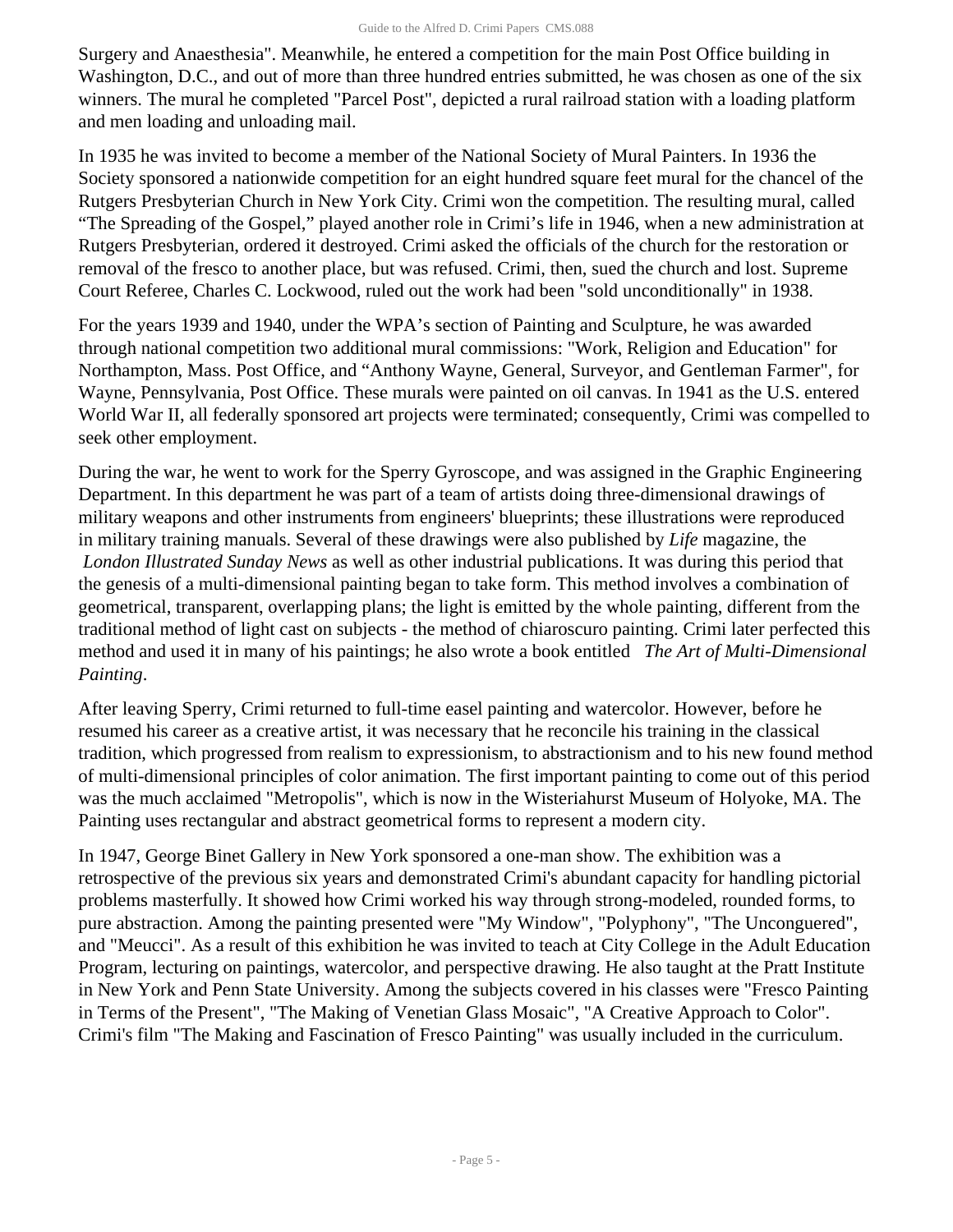Surgery and Anaesthesia". Meanwhile, he entered a competition for the main Post Office building in Washington, D.C., and out of more than three hundred entries submitted, he was chosen as one of the six winners. The mural he completed "Parcel Post", depicted a rural railroad station with a loading platform and men loading and unloading mail.

In 1935 he was invited to become a member of the National Society of Mural Painters. In 1936 the Society sponsored a nationwide competition for an eight hundred square feet mural for the chancel of the Rutgers Presbyterian Church in New York City. Crimi won the competition. The resulting mural, called "The Spreading of the Gospel," played another role in Crimi's life in 1946, when a new administration at Rutgers Presbyterian, ordered it destroyed. Crimi asked the officials of the church for the restoration or removal of the fresco to another place, but was refused. Crimi, then, sued the church and lost. Supreme Court Referee, Charles C. Lockwood, ruled out the work had been "sold unconditionally" in 1938.

For the years 1939 and 1940, under the WPA's section of Painting and Sculpture, he was awarded through national competition two additional mural commissions: "Work, Religion and Education" for Northampton, Mass. Post Office, and "Anthony Wayne, General, Surveyor, and Gentleman Farmer", for Wayne, Pennsylvania, Post Office. These murals were painted on oil canvas. In 1941 as the U.S. entered World War II, all federally sponsored art projects were terminated; consequently, Crimi was compelled to seek other employment.

During the war, he went to work for the Sperry Gyroscope, and was assigned in the Graphic Engineering Department. In this department he was part of a team of artists doing three-dimensional drawings of military weapons and other instruments from engineers' blueprints; these illustrations were reproduced in military training manuals. Several of these drawings were also published by *Life* magazine, the  *London Illustrated Sunday News* as well as other industrial publications. It was during this period that the genesis of a multi-dimensional painting began to take form. This method involves a combination of geometrical, transparent, overlapping plans; the light is emitted by the whole painting, different from the traditional method of light cast on subjects - the method of chiaroscuro painting. Crimi later perfected this method and used it in many of his paintings; he also wrote a book entitled *The Art of Multi-Dimensional Painting*.

After leaving Sperry, Crimi returned to full-time easel painting and watercolor. However, before he resumed his career as a creative artist, it was necessary that he reconcile his training in the classical tradition, which progressed from realism to expressionism, to abstractionism and to his new found method of multi-dimensional principles of color animation. The first important painting to come out of this period was the much acclaimed "Metropolis", which is now in the Wisteriahurst Museum of Holyoke, MA. The Painting uses rectangular and abstract geometrical forms to represent a modern city.

In 1947, George Binet Gallery in New York sponsored a one-man show. The exhibition was a retrospective of the previous six years and demonstrated Crimi's abundant capacity for handling pictorial problems masterfully. It showed how Crimi worked his way through strong-modeled, rounded forms, to pure abstraction. Among the painting presented were "My Window", "Polyphony", "The Unconguered", and "Meucci". As a result of this exhibition he was invited to teach at City College in the Adult Education Program, lecturing on paintings, watercolor, and perspective drawing. He also taught at the Pratt Institute in New York and Penn State University. Among the subjects covered in his classes were "Fresco Painting in Terms of the Present", "The Making of Venetian Glass Mosaic", "A Creative Approach to Color". Crimi's film "The Making and Fascination of Fresco Painting" was usually included in the curriculum.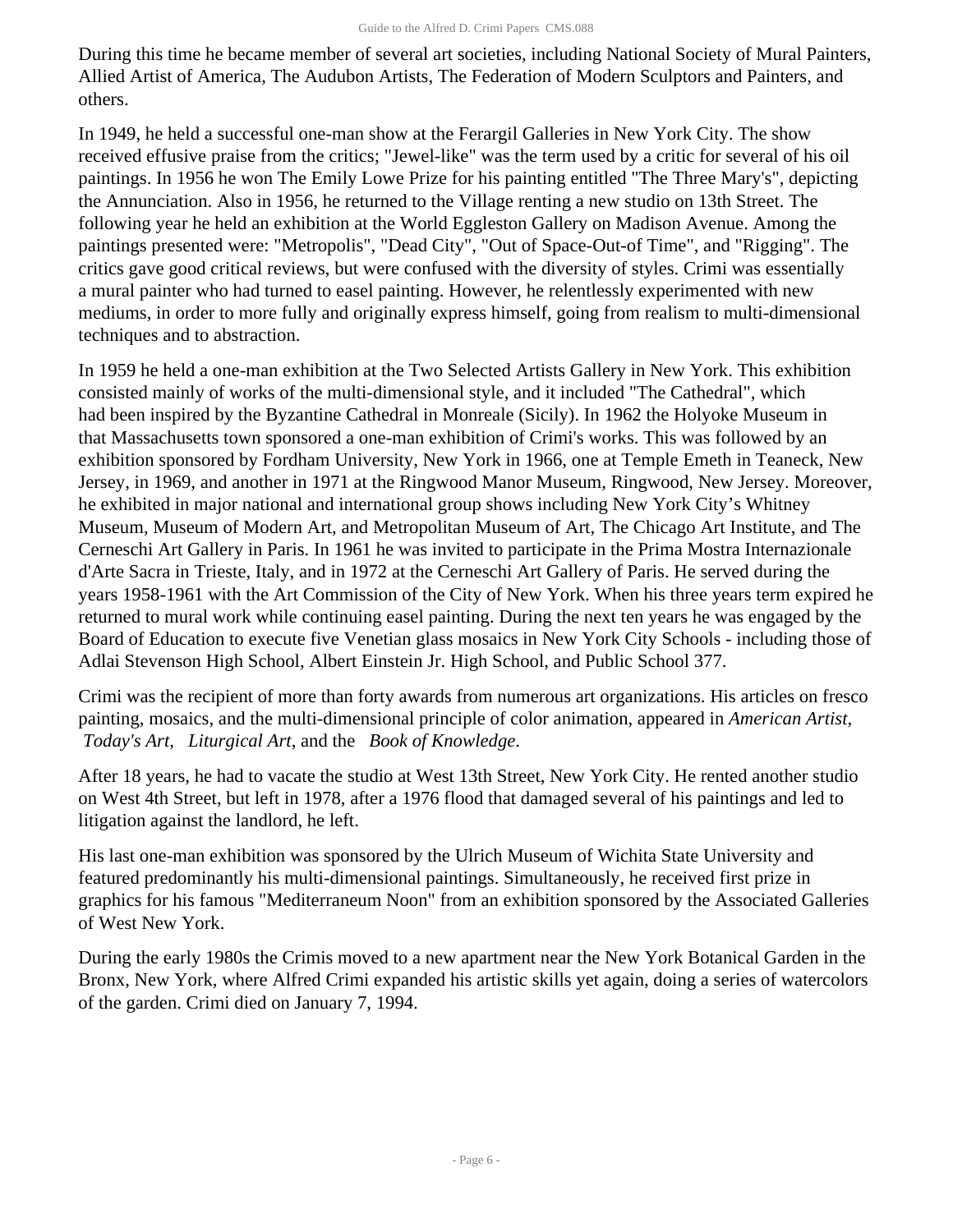During this time he became member of several art societies, including National Society of Mural Painters, Allied Artist of America, The Audubon Artists, The Federation of Modern Sculptors and Painters, and others.

In 1949, he held a successful one-man show at the Ferargil Galleries in New York City. The show received effusive praise from the critics; "Jewel-like" was the term used by a critic for several of his oil paintings. In 1956 he won The Emily Lowe Prize for his painting entitled "The Three Mary's", depicting the Annunciation. Also in 1956, he returned to the Village renting a new studio on 13th Street. The following year he held an exhibition at the World Eggleston Gallery on Madison Avenue. Among the paintings presented were: "Metropolis", "Dead City", "Out of Space-Out-of Time", and "Rigging". The critics gave good critical reviews, but were confused with the diversity of styles. Crimi was essentially a mural painter who had turned to easel painting. However, he relentlessly experimented with new mediums, in order to more fully and originally express himself, going from realism to multi-dimensional techniques and to abstraction.

In 1959 he held a one-man exhibition at the Two Selected Artists Gallery in New York. This exhibition consisted mainly of works of the multi-dimensional style, and it included "The Cathedral", which had been inspired by the Byzantine Cathedral in Monreale (Sicily). In 1962 the Holyoke Museum in that Massachusetts town sponsored a one-man exhibition of Crimi's works. This was followed by an exhibition sponsored by Fordham University, New York in 1966, one at Temple Emeth in Teaneck, New Jersey, in 1969, and another in 1971 at the Ringwood Manor Museum, Ringwood, New Jersey. Moreover, he exhibited in major national and international group shows including New York City's Whitney Museum, Museum of Modern Art, and Metropolitan Museum of Art, The Chicago Art Institute, and The Cerneschi Art Gallery in Paris. In 1961 he was invited to participate in the Prima Mostra Internazionale d'Arte Sacra in Trieste, Italy, and in 1972 at the Cerneschi Art Gallery of Paris. He served during the years 1958-1961 with the Art Commission of the City of New York. When his three years term expired he returned to mural work while continuing easel painting. During the next ten years he was engaged by the Board of Education to execute five Venetian glass mosaics in New York City Schools - including those of Adlai Stevenson High School, Albert Einstein Jr. High School, and Public School 377.

Crimi was the recipient of more than forty awards from numerous art organizations. His articles on fresco painting, mosaics, and the multi-dimensional principle of color animation, appeared in *American Artist*,  *Today's Art*, *Liturgical Art*, and the *Book of Knowledge*.

After 18 years, he had to vacate the studio at West 13th Street, New York City. He rented another studio on West 4th Street, but left in 1978, after a 1976 flood that damaged several of his paintings and led to litigation against the landlord, he left.

His last one-man exhibition was sponsored by the Ulrich Museum of Wichita State University and featured predominantly his multi-dimensional paintings. Simultaneously, he received first prize in graphics for his famous "Mediterraneum Noon" from an exhibition sponsored by the Associated Galleries of West New York.

During the early 1980s the Crimis moved to a new apartment near the New York Botanical Garden in the Bronx, New York, where Alfred Crimi expanded his artistic skills yet again, doing a series of watercolors of the garden. Crimi died on January 7, 1994.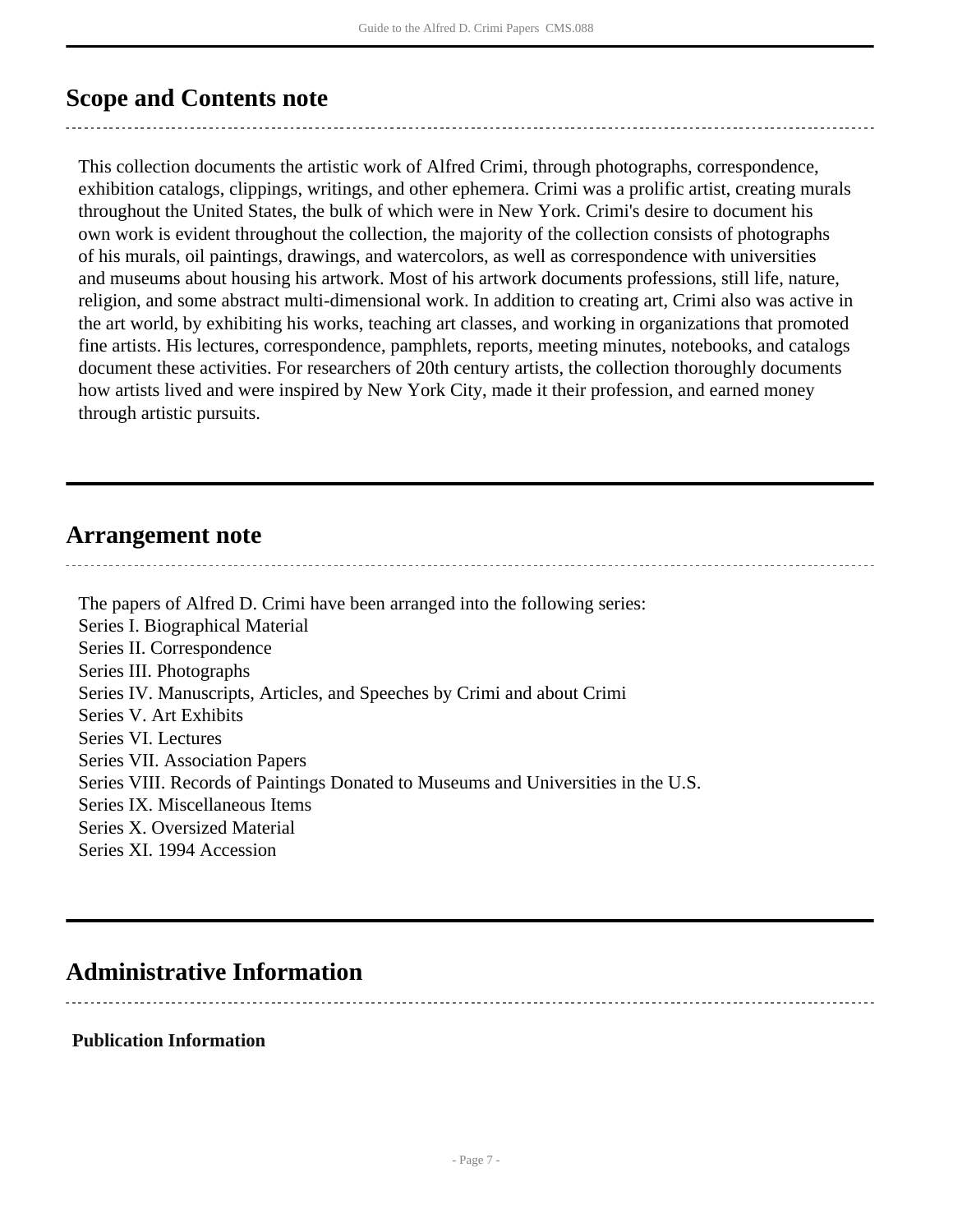# <span id="page-6-0"></span>**Scope and Contents note**

This collection documents the artistic work of Alfred Crimi, through photographs, correspondence, exhibition catalogs, clippings, writings, and other ephemera. Crimi was a prolific artist, creating murals throughout the United States, the bulk of which were in New York. Crimi's desire to document his own work is evident throughout the collection, the majority of the collection consists of photographs of his murals, oil paintings, drawings, and watercolors, as well as correspondence with universities and museums about housing his artwork. Most of his artwork documents professions, still life, nature, religion, and some abstract multi-dimensional work. In addition to creating art, Crimi also was active in the art world, by exhibiting his works, teaching art classes, and working in organizations that promoted fine artists. His lectures, correspondence, pamphlets, reports, meeting minutes, notebooks, and catalogs document these activities. For researchers of 20th century artists, the collection thoroughly documents how artists lived and were inspired by New York City, made it their profession, and earned money through artistic pursuits.

# <span id="page-6-1"></span>**Arrangement note**

The papers of Alfred D. Crimi have been arranged into the following series: Series I. Biographical Material Series II. Correspondence Series III. Photographs Series IV. Manuscripts, Articles, and Speeches by Crimi and about Crimi Series V. Art Exhibits Series VI. Lectures Series VII. Association Papers Series VIII. Records of Paintings Donated to Museums and Universities in the U.S. Series IX. Miscellaneous Items Series X. Oversized Material Series XI. 1994 Accession

# <span id="page-6-2"></span>**Administrative Information**

## **Publication Information**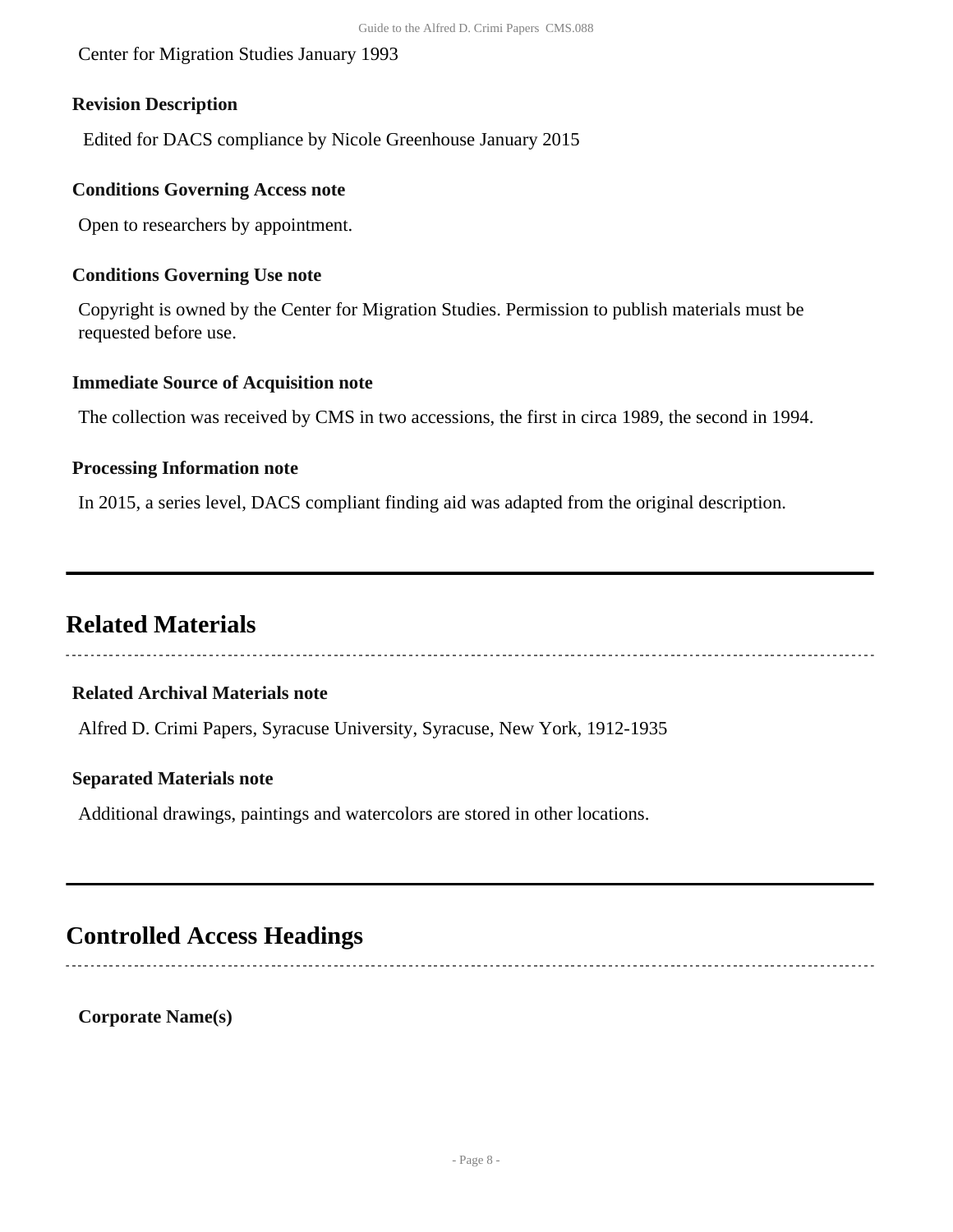Center for Migration Studies January 1993

### **Revision Description**

Edited for DACS compliance by Nicole Greenhouse January 2015

### **Conditions Governing Access note**

Open to researchers by appointment.

### **Conditions Governing Use note**

Copyright is owned by the Center for Migration Studies. Permission to publish materials must be requested before use.

### **Immediate Source of Acquisition note**

The collection was received by CMS in two accessions, the first in circa 1989, the second in 1994.

### **Processing Information note**

In 2015, a series level, DACS compliant finding aid was adapted from the original description.

# <span id="page-7-0"></span>**Related Materials**

### **Related Archival Materials note**

Alfred D. Crimi Papers, Syracuse University, Syracuse, New York, 1912-1935

### **Separated Materials note**

Additional drawings, paintings and watercolors are stored in other locations.

## <span id="page-7-1"></span>**Controlled Access Headings**

**Corporate Name(s)**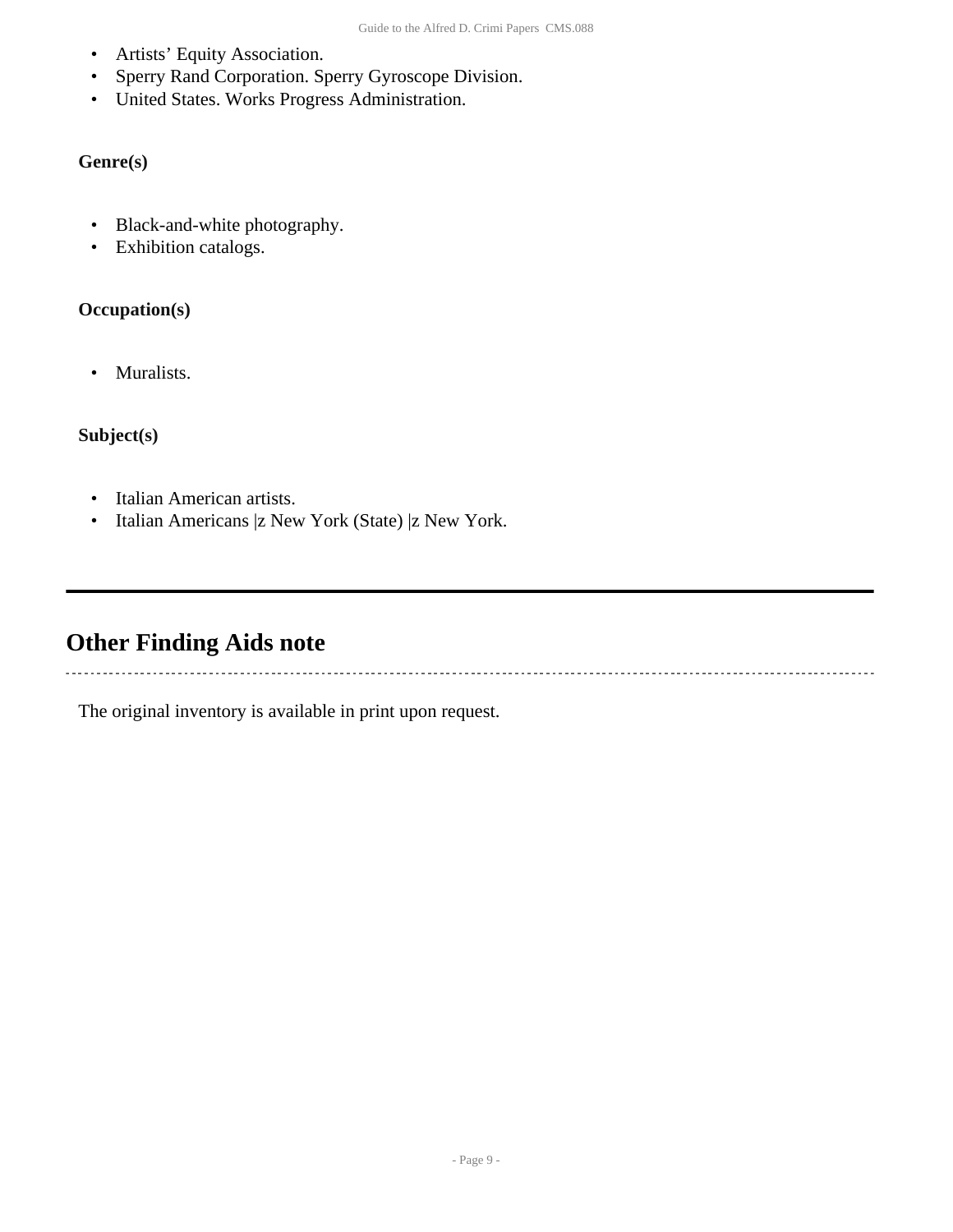- Artists' Equity Association.
- Sperry Rand Corporation. Sperry Gyroscope Division.
- United States. Works Progress Administration.

## **Genre(s)**

- Black-and-white photography.
- Exhibition catalogs.

## **Occupation(s)**

• Muralists.

## **Subject(s)**

L.

- Italian American artists.
- Italian Americans |z New York (State) |z New York.

# <span id="page-8-0"></span>**Other Finding Aids note**

The original inventory is available in print upon request.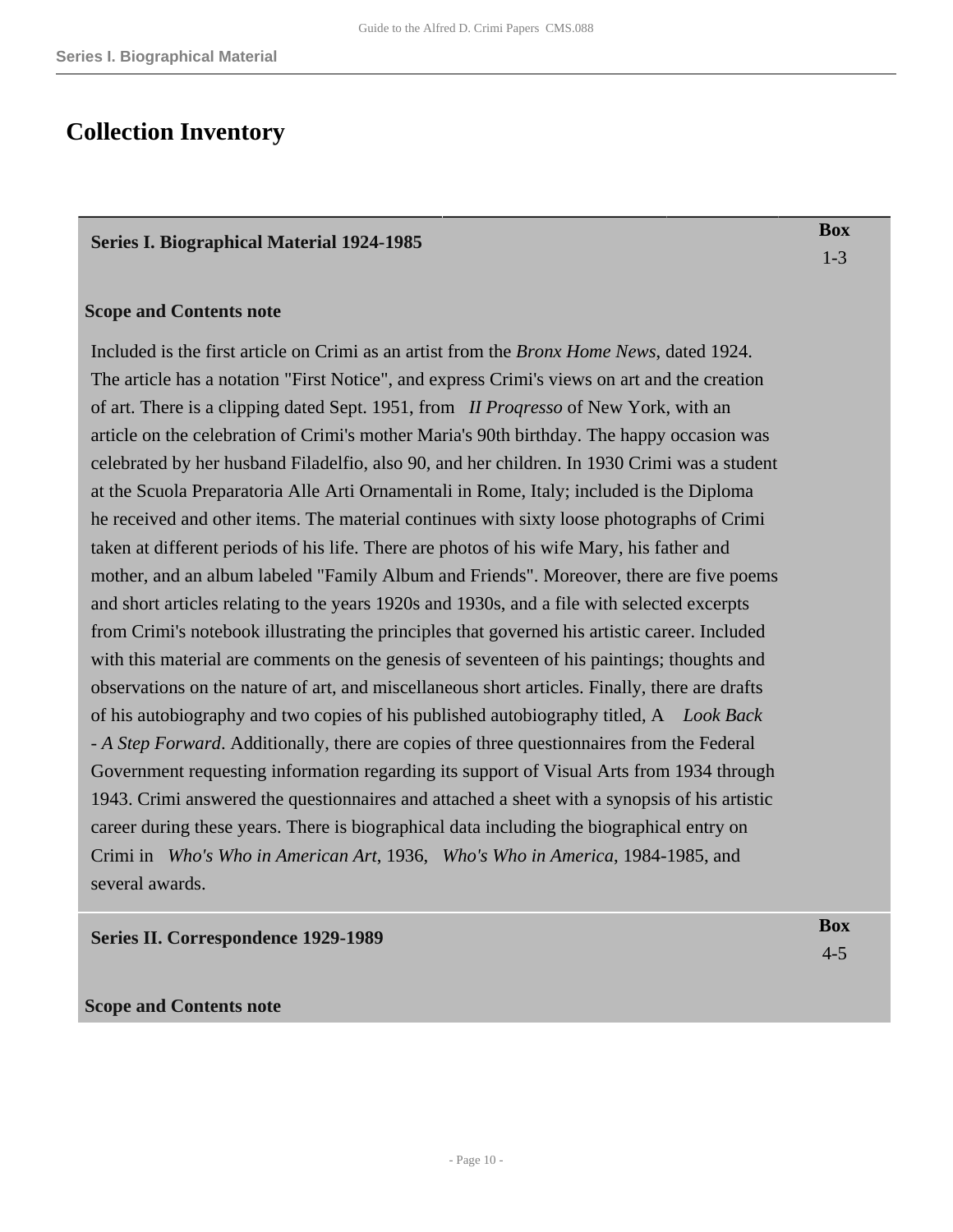# <span id="page-9-0"></span>**Collection Inventory**

### <span id="page-9-1"></span>**Series I. Biographical Material 1924-1985**

**Box** 1-3

> **Box** 4-5

### **Scope and Contents note**

Included is the first article on Crimi as an artist from the *Bronx Home News*, dated 1924. The article has a notation "First Notice", and express Crimi's views on art and the creation of art. There is a clipping dated Sept. 1951, from *II Proqresso* of New York, with an article on the celebration of Crimi's mother Maria's 90th birthday. The happy occasion was celebrated by her husband Filadelfio, also 90, and her children. In 1930 Crimi was a student at the Scuola Preparatoria Alle Arti Ornamentali in Rome, Italy; included is the Diploma he received and other items. The material continues with sixty loose photographs of Crimi taken at different periods of his life. There are photos of his wife Mary, his father and mother, and an album labeled "Family Album and Friends". Moreover, there are five poems and short articles relating to the years 1920s and 1930s, and a file with selected excerpts from Crimi's notebook illustrating the principles that governed his artistic career. Included with this material are comments on the genesis of seventeen of his paintings; thoughts and observations on the nature of art, and miscellaneous short articles. Finally, there are drafts of his autobiography and two copies of his published autobiography titled, A *Look Back - A Step Forward*. Additionally, there are copies of three questionnaires from the Federal Government requesting information regarding its support of Visual Arts from 1934 through 1943. Crimi answered the questionnaires and attached a sheet with a synopsis of his artistic career during these years. There is biographical data including the biographical entry on Crimi in *Who's Who in American Art*, 1936, *Who's Who in America*, 1984-1985, and several awards.

<span id="page-9-2"></span>**Series II. Correspondence 1929-1989** 

**Scope and Contents note**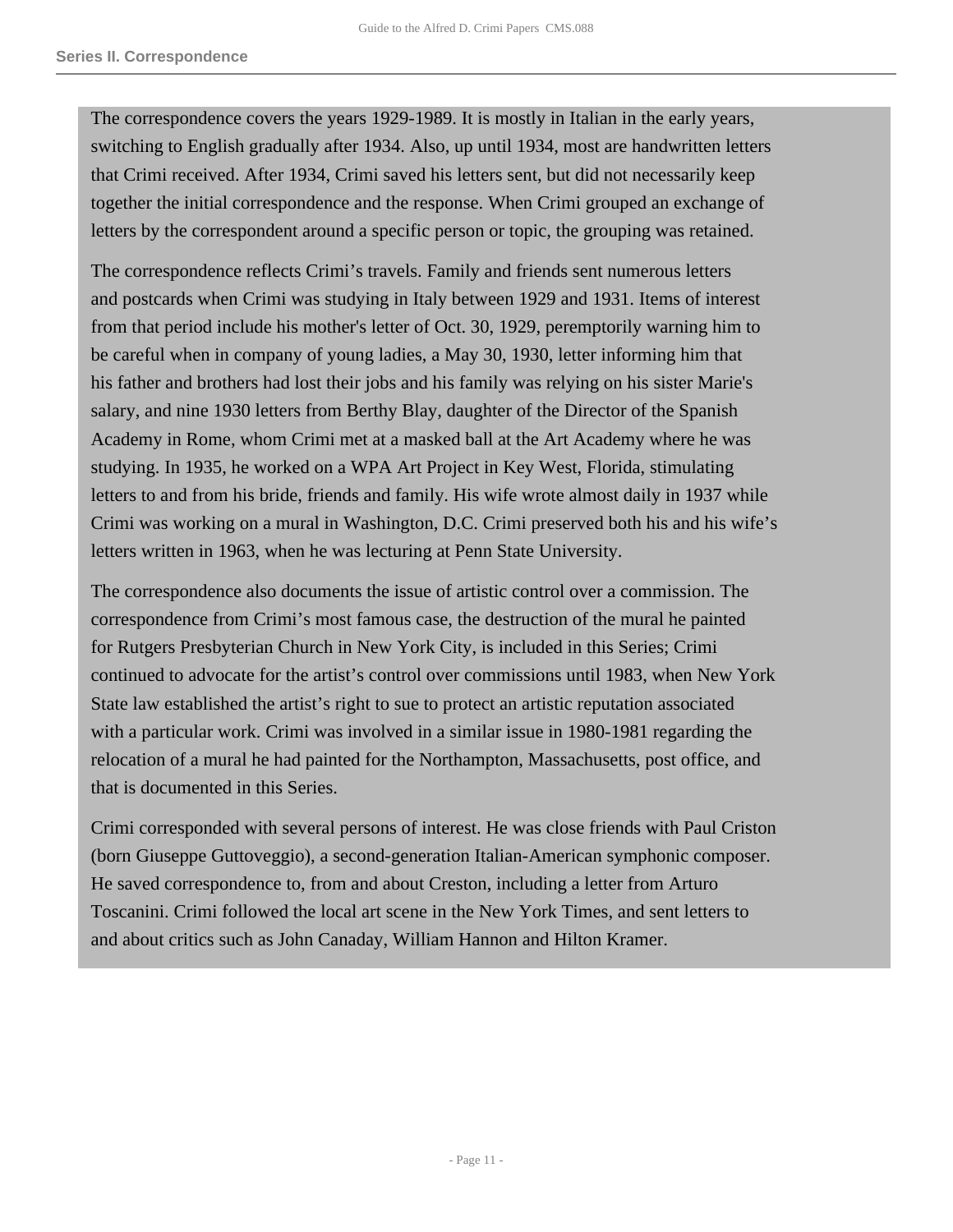The correspondence covers the years 1929-1989. It is mostly in Italian in the early years, switching to English gradually after 1934. Also, up until 1934, most are handwritten letters that Crimi received. After 1934, Crimi saved his letters sent, but did not necessarily keep together the initial correspondence and the response. When Crimi grouped an exchange of letters by the correspondent around a specific person or topic, the grouping was retained.

The correspondence reflects Crimi's travels. Family and friends sent numerous letters and postcards when Crimi was studying in Italy between 1929 and 1931. Items of interest from that period include his mother's letter of Oct. 30, 1929, peremptorily warning him to be careful when in company of young ladies, a May 30, 1930, letter informing him that his father and brothers had lost their jobs and his family was relying on his sister Marie's salary, and nine 1930 letters from Berthy Blay, daughter of the Director of the Spanish Academy in Rome, whom Crimi met at a masked ball at the Art Academy where he was studying. In 1935, he worked on a WPA Art Project in Key West, Florida, stimulating letters to and from his bride, friends and family. His wife wrote almost daily in 1937 while Crimi was working on a mural in Washington, D.C. Crimi preserved both his and his wife's letters written in 1963, when he was lecturing at Penn State University.

The correspondence also documents the issue of artistic control over a commission. The correspondence from Crimi's most famous case, the destruction of the mural he painted for Rutgers Presbyterian Church in New York City, is included in this Series; Crimi continued to advocate for the artist's control over commissions until 1983, when New York State law established the artist's right to sue to protect an artistic reputation associated with a particular work. Crimi was involved in a similar issue in 1980-1981 regarding the relocation of a mural he had painted for the Northampton, Massachusetts, post office, and that is documented in this Series.

Crimi corresponded with several persons of interest. He was close friends with Paul Criston (born Giuseppe Guttoveggio), a second-generation Italian-American symphonic composer. He saved correspondence to, from and about Creston, including a letter from Arturo Toscanini. Crimi followed the local art scene in the New York Times, and sent letters to and about critics such as John Canaday, William Hannon and Hilton Kramer.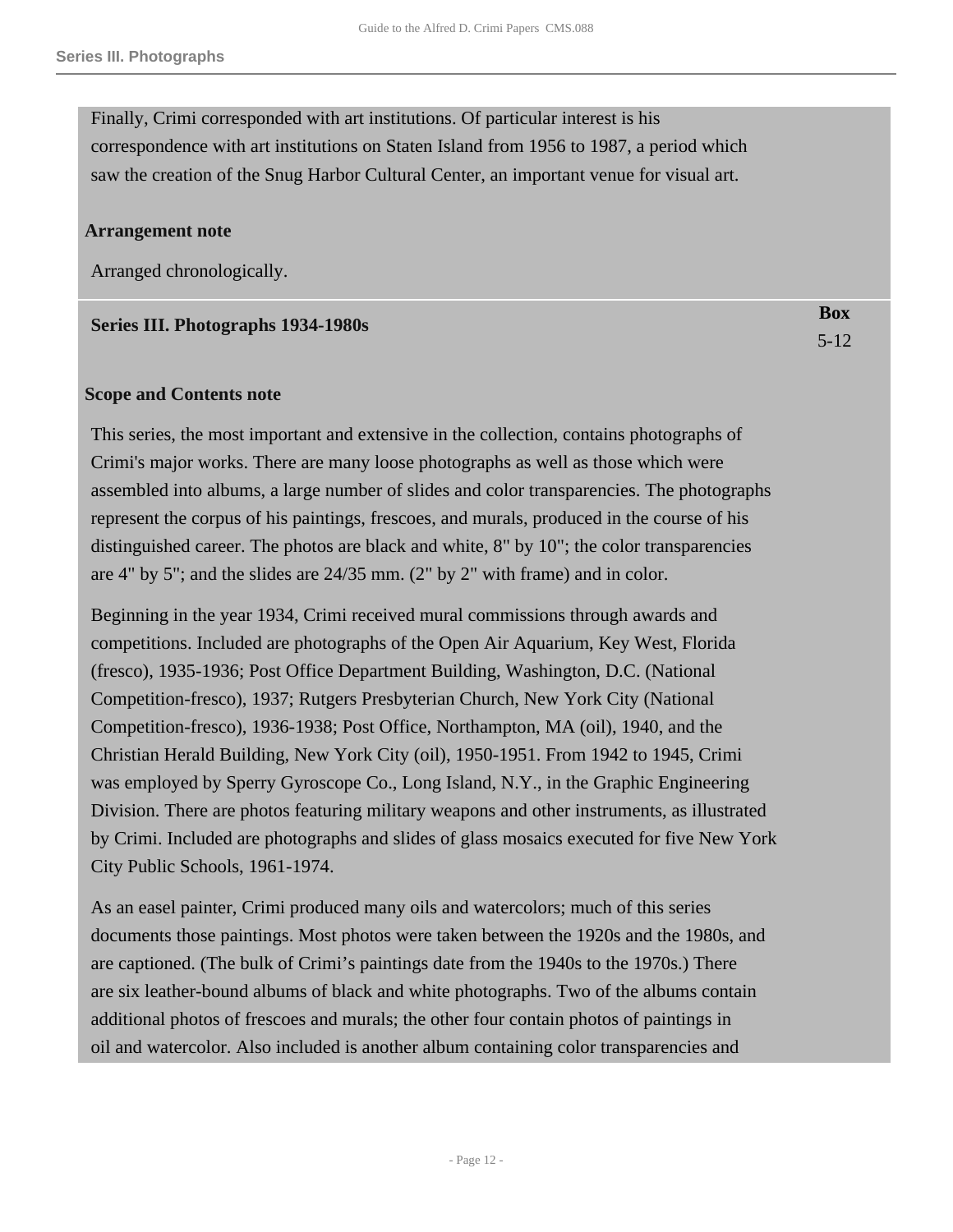**Box** 5-12

Finally, Crimi corresponded with art institutions. Of particular interest is his correspondence with art institutions on Staten Island from 1956 to 1987, a period which saw the creation of the Snug Harbor Cultural Center, an important venue for visual art.

#### **Arrangement note**

Arranged chronologically.

#### <span id="page-11-0"></span>**Series III. Photographs 1934-1980s**

#### **Scope and Contents note**

This series, the most important and extensive in the collection, contains photographs of Crimi's major works. There are many loose photographs as well as those which were assembled into albums, a large number of slides and color transparencies. The photographs represent the corpus of his paintings, frescoes, and murals, produced in the course of his distinguished career. The photos are black and white, 8" by 10"; the color transparencies are 4" by 5"; and the slides are 24/35 mm. (2" by 2" with frame) and in color.

Beginning in the year 1934, Crimi received mural commissions through awards and competitions. Included are photographs of the Open Air Aquarium, Key West, Florida (fresco), 1935-1936; Post Office Department Building, Washington, D.C. (National Competition-fresco), 1937; Rutgers Presbyterian Church, New York City (National Competition-fresco), 1936-1938; Post Office, Northampton, MA (oil), 1940, and the Christian Herald Building, New York City (oil), 1950-1951. From 1942 to 1945, Crimi was employed by Sperry Gyroscope Co., Long Island, N.Y., in the Graphic Engineering Division. There are photos featuring military weapons and other instruments, as illustrated by Crimi. Included are photographs and slides of glass mosaics executed for five New York City Public Schools, 1961-1974.

As an easel painter, Crimi produced many oils and watercolors; much of this series documents those paintings. Most photos were taken between the 1920s and the 1980s, and are captioned. (The bulk of Crimi's paintings date from the 1940s to the 1970s.) There are six leather-bound albums of black and white photographs. Two of the albums contain additional photos of frescoes and murals; the other four contain photos of paintings in oil and watercolor. Also included is another album containing color transparencies and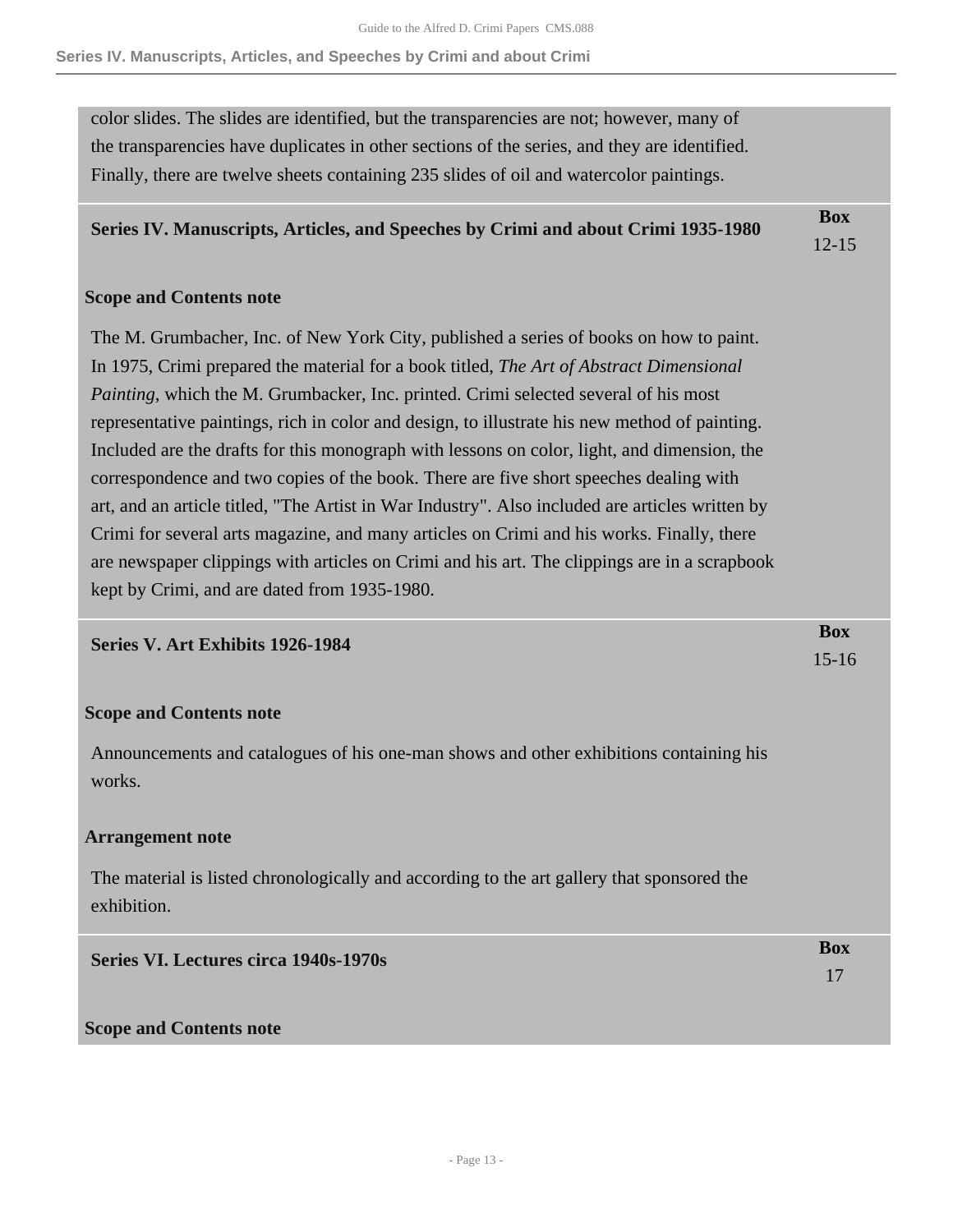**Series IV. Manuscripts, Articles, and Speeches by Crimi and about Crimi**

color slides. The slides are identified, but the transparencies are not; however, many of the transparencies have duplicates in other sections of the series, and they are identified. Finally, there are twelve sheets containing 235 slides of oil and watercolor paintings.

#### <span id="page-12-0"></span>**Series IV. Manuscripts, Articles, and Speeches by Crimi and about Crimi 1935-1980 Box** 12-15

### **Scope and Contents note**

The M. Grumbacher, Inc. of New York City, published a series of books on how to paint. In 1975, Crimi prepared the material for a book titled, *The Art of Abstract Dimensional Painting*, which the M. Grumbacker, Inc. printed. Crimi selected several of his most representative paintings, rich in color and design, to illustrate his new method of painting. Included are the drafts for this monograph with lessons on color, light, and dimension, the correspondence and two copies of the book. There are five short speeches dealing with art, and an article titled, "The Artist in War Industry". Also included are articles written by Crimi for several arts magazine, and many articles on Crimi and his works. Finally, there are newspaper clippings with articles on Crimi and his art. The clippings are in a scrapbook kept by Crimi, and are dated from 1935-1980.

> **Box** 15-16

### <span id="page-12-1"></span>**Series V. Art Exhibits 1926-1984**

### **Scope and Contents note**

Announcements and catalogues of his one-man shows and other exhibitions containing his works.

### **Arrangement note**

The material is listed chronologically and according to the art gallery that sponsored the exhibition.

<span id="page-12-2"></span>

| <b>Series VI. Lectures circa 1940s-1970s</b> | Box |
|----------------------------------------------|-----|
|                                              |     |

### **Scope and Contents note**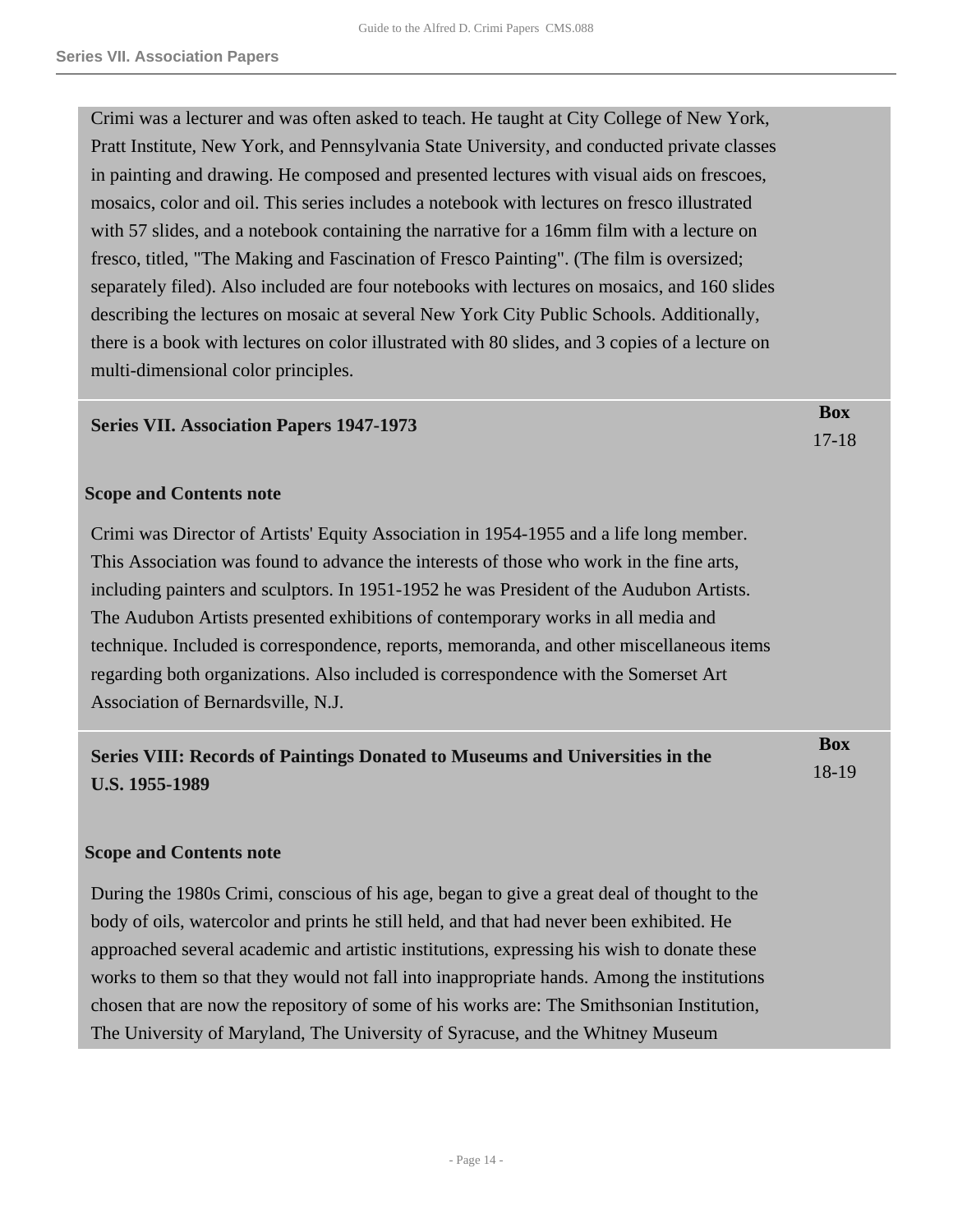Crimi was a lecturer and was often asked to teach. He taught at City College of New York, Pratt Institute, New York, and Pennsylvania State University, and conducted private classes in painting and drawing. He composed and presented lectures with visual aids on frescoes, mosaics, color and oil. This series includes a notebook with lectures on fresco illustrated with 57 slides, and a notebook containing the narrative for a 16mm film with a lecture on fresco, titled, "The Making and Fascination of Fresco Painting". (The film is oversized; separately filed). Also included are four notebooks with lectures on mosaics, and 160 slides describing the lectures on mosaic at several New York City Public Schools. Additionally, there is a book with lectures on color illustrated with 80 slides, and 3 copies of a lecture on multi-dimensional color principles.

> **Box** 17-18

<span id="page-13-0"></span>

|--|

### **Scope and Contents note**

Crimi was Director of Artists' Equity Association in 1954-1955 and a life long member. This Association was found to advance the interests of those who work in the fine arts, including painters and sculptors. In 1951-1952 he was President of the Audubon Artists. The Audubon Artists presented exhibitions of contemporary works in all media and technique. Included is correspondence, reports, memoranda, and other miscellaneous items regarding both organizations. Also included is correspondence with the Somerset Art Association of Bernardsville, N.J.

<span id="page-13-1"></span>

| Series VIII: Records of Paintings Donated to Museums and Universities in the<br>U.S. 1955-1989 | Box     |  |  |
|------------------------------------------------------------------------------------------------|---------|--|--|
|                                                                                                | $18-19$ |  |  |
|                                                                                                |         |  |  |

### **Scope and Contents note**

During the 1980s Crimi, conscious of his age, began to give a great deal of thought to the body of oils, watercolor and prints he still held, and that had never been exhibited. He approached several academic and artistic institutions, expressing his wish to donate these works to them so that they would not fall into inappropriate hands. Among the institutions chosen that are now the repository of some of his works are: The Smithsonian Institution, The University of Maryland, The University of Syracuse, and the Whitney Museum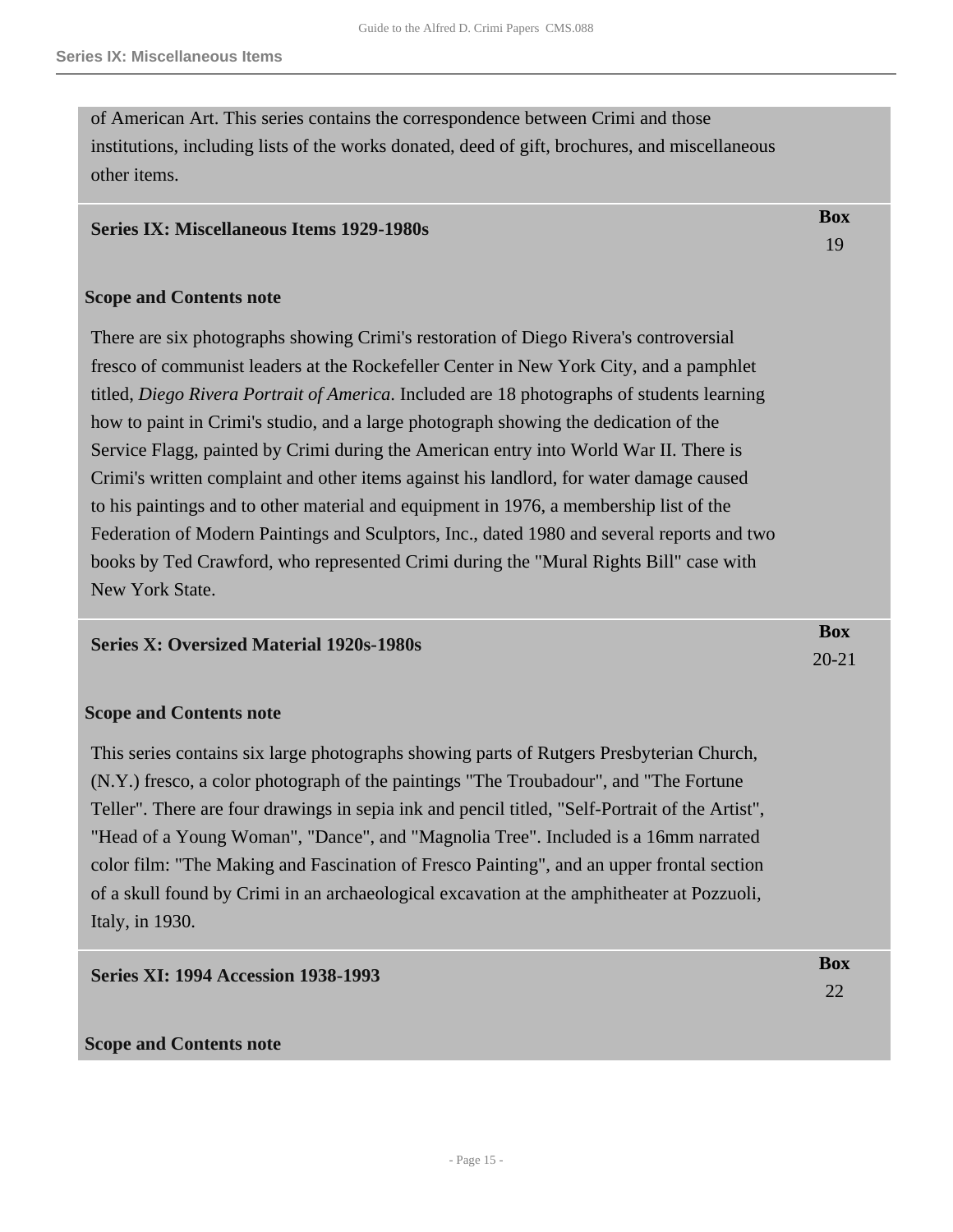of American Art. This series contains the correspondence between Crimi and those institutions, including lists of the works donated, deed of gift, brochures, and miscellaneous other items.

### <span id="page-14-0"></span>**Series IX: Miscellaneous Items 1929-1980s**

### **Scope and Contents note**

There are six photographs showing Crimi's restoration of Diego Rivera's controversial fresco of communist leaders at the Rockefeller Center in New York City, and a pamphlet titled, *Diego Rivera Portrait of America*. Included are 18 photographs of students learning how to paint in Crimi's studio, and a large photograph showing the dedication of the Service Flagg, painted by Crimi during the American entry into World War II. There is Crimi's written complaint and other items against his landlord, for water damage caused to his paintings and to other material and equipment in 1976, a membership list of the Federation of Modern Paintings and Sculptors, Inc., dated 1980 and several reports and two books by Ted Crawford, who represented Crimi during the "Mural Rights Bill" case with New York State.

### <span id="page-14-1"></span>**Series X: Oversized Material 1920s-1980s**

### **Scope and Contents note**

This series contains six large photographs showing parts of Rutgers Presbyterian Church, (N.Y.) fresco, a color photograph of the paintings "The Troubadour", and "The Fortune Teller". There are four drawings in sepia ink and pencil titled, "Self-Portrait of the Artist", "Head of a Young Woman", "Dance", and "Magnolia Tree". Included is a 16mm narrated color film: "The Making and Fascination of Fresco Painting", and an upper frontal section of a skull found by Crimi in an archaeological excavation at the amphitheater at Pozzuoli, Italy, in 1930.

<span id="page-14-2"></span>

| <b>Series XI: 1994 Accession 1938-1993</b> | Box |
|--------------------------------------------|-----|
|                                            | 22  |
|                                            |     |
| <b>Scope and Contents note</b>             |     |

**Box** 19

**Box** 20-21